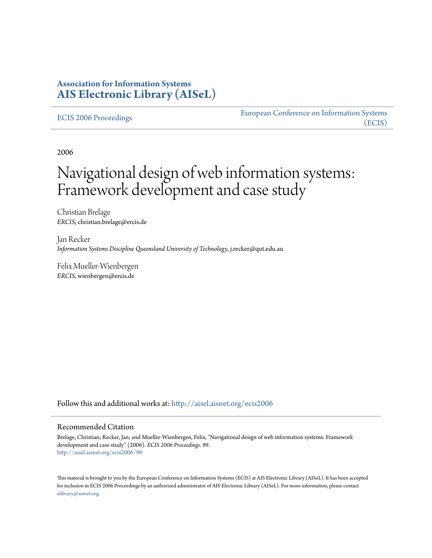## **Association for Information Systems [AIS Electronic Library \(AISeL\)](http://aisel.aisnet.org?utm_source=aisel.aisnet.org%2Fecis2006%2F99&utm_medium=PDF&utm_campaign=PDFCoverPages)**

#### [ECIS 2006 Proceedings](http://aisel.aisnet.org/ecis2006?utm_source=aisel.aisnet.org%2Fecis2006%2F99&utm_medium=PDF&utm_campaign=PDFCoverPages)

[European Conference on Information Systems](http://aisel.aisnet.org/ecis?utm_source=aisel.aisnet.org%2Fecis2006%2F99&utm_medium=PDF&utm_campaign=PDFCoverPages) [\(ECIS\)](http://aisel.aisnet.org/ecis?utm_source=aisel.aisnet.org%2Fecis2006%2F99&utm_medium=PDF&utm_campaign=PDFCoverPages)

2006

# Navigational design of web information systems: Framework development and case study

Christian Brelage *ERCIS*, christian.brelage@ercis.de

Jan Recker *Information Systems Discipline Queensland University of Technology*, j.recker@qut.edu.au

Felix Mueller-Wienbergen *ERCIS*, wienbergen@ercis.de

Follow this and additional works at: [http://aisel.aisnet.org/ecis2006](http://aisel.aisnet.org/ecis2006?utm_source=aisel.aisnet.org%2Fecis2006%2F99&utm_medium=PDF&utm_campaign=PDFCoverPages)

#### Recommended Citation

Brelage, Christian; Recker, Jan; and Mueller-Wienbergen, Felix, "Navigational design of web information systems: Framework development and case study" (2006). *ECIS 2006 Proceedings*. 99. [http://aisel.aisnet.org/ecis2006/99](http://aisel.aisnet.org/ecis2006/99?utm_source=aisel.aisnet.org%2Fecis2006%2F99&utm_medium=PDF&utm_campaign=PDFCoverPages)

This material is brought to you by the European Conference on Information Systems (ECIS) at AIS Electronic Library (AISeL). It has been accepted for inclusion in ECIS 2006 Proceedings by an authorized administrator of AIS Electronic Library (AISeL). For more information, please contact [elibrary@aisnet.org.](mailto:elibrary@aisnet.org%3E)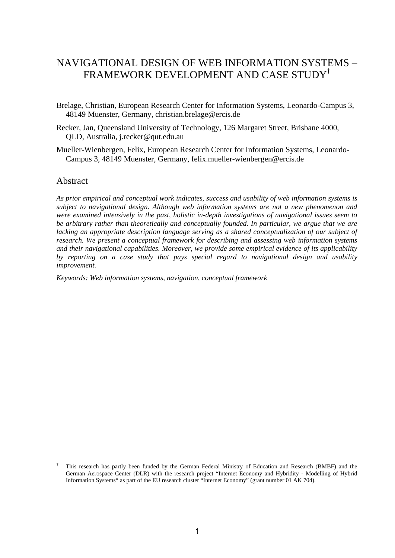## NAVIGATIONAL DESIGN OF WEB INFORMATION SYSTEMS – FRAMEWORK DEVELOPMENT AND CASE STUDY†

Brelage, Christian, European Research Center for Information Systems, Leonardo-Campus 3, 48149 Muenster, Germany, christian.brelage@ercis.de

- Recker, Jan, Queensland University of Technology, 126 Margaret Street, Brisbane 4000, QLD, Australia, j.recker@qut.edu.au
- Mueller-Wienbergen, Felix, European Research Center for Information Systems, Leonardo-Campus 3, 48149 Muenster, Germany, felix.mueller-wienbergen@ercis.de

## Abstract

1

*As prior empirical and conceptual work indicates, success and usability of web information systems is subject to navigational design. Although web information systems are not a new phenomenon and were examined intensively in the past, holistic in-depth investigations of navigational issues seem to be arbitrary rather than theoretically and conceptually founded. In particular, we argue that we are lacking an appropriate description language serving as a shared conceptualization of our subject of research. We present a conceptual framework for describing and assessing web information systems and their navigational capabilities. Moreover, we provide some empirical evidence of its applicability by reporting on a case study that pays special regard to navigational design and usability improvement.* 

*Keywords: Web information systems, navigation, conceptual framework* 

<sup>†</sup> This research has partly been funded by the German Federal Ministry of Education and Research (BMBF) and the German Aerospace Center (DLR) with the research project "Internet Economy and Hybridity - Modelling of Hybrid Information Systems" as part of the EU research cluster "Internet Economy" (grant number 01 AK 704).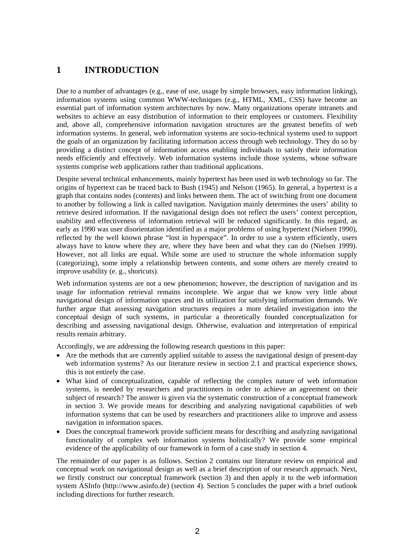## **1 INTRODUCTION**

Due to a number of advantages (e.g., ease of use, usage by simple browsers, easy information linking), information systems using common WWW-techniques (e.g., HTML, XML, CSS) have become an essential part of information system architectures by now. Many organizations operate intranets and websites to achieve an easy distribution of information to their employees or customers. Flexibility and, above all, comprehensive information navigation structures are the greatest benefits of web information systems. In general, web information systems are socio-technical systems used to support the goals of an organization by facilitating information access through web technology. They do so by providing a distinct concept of information access enabling individuals to satisfy their information needs efficiently and effectively. Web information systems include those systems, whose software systems comprise web applications rather than traditional applications.

Despite several technical enhancements, mainly hypertext has been used in web technology so far. The origins of hypertext can be traced back to Bush (1945) and Nelson (1965). In general, a hypertext is a graph that contains nodes (contents) and links between them. The act of switching from one document to another by following a link is called navigation. Navigation mainly determines the users' ability to retrieve desired information. If the navigational design does not reflect the users' context perception, usability and effectiveness of information retrieval will be reduced significantly. In this regard, as early as 1990 was user disorientation identified as a major problems of using hypertext (Nielsen 1990), reflected by the well known phrase "lost in hyperspace". In order to use a system efficiently, users always have to know where they are, where they have been and what they can do (Nielsen 1999). However, not all links are equal. While some are used to structure the whole information supply (categorizing), some imply a relationship between contents, and some others are merely created to improve usability (e. g., shortcuts).

Web information systems are not a new phenomenon; however, the description of navigation and its usage for information retrieval remains incomplete. We argue that we know very little about navigational design of information spaces and its utilization for satisfying information demands. We further argue that assessing navigation structures requires a more detailed investigation into the conceptual design of such systems, in particular a theoretically founded conceptualization for describing and assessing navigational design. Otherwise, evaluation and interpretation of empirical results remain arbitrary.

Accordingly, we are addressing the following research questions in this paper:

- Are the methods that are currently applied suitable to assess the navigational design of present-day web information systems? As our literature review in section 2.1 and practical experience shows, this is not entirely the case.
- What kind of conceptualization, capable of reflecting the complex nature of web information systems, is needed by researchers and practitioners in order to achieve an agreement on their subject of research? The answer is given via the systematic construction of a conceptual framework in section 3. We provide means for describing and analyzing navigational capabilities of web information systems that can be used by researchers and practitioners alike to improve and assess navigation in information spaces.
- Does the conceptual framework provide sufficient means for describing and analyzing navigational functionality of complex web information systems holistically? We provide some empirical evidence of the applicability of our framework in form of a case study in section 4.

The remainder of our paper is as follows. Section 2 contains our literature review on empirical and conceptual work on navigational design as well as a brief description of our research approach. Next, we firstly construct our conceptual framework (section 3) and then apply it to the web information system ASInfo (http://www.asinfo.de) (section 4). Section 5 concludes the paper with a brief outlook including directions for further research.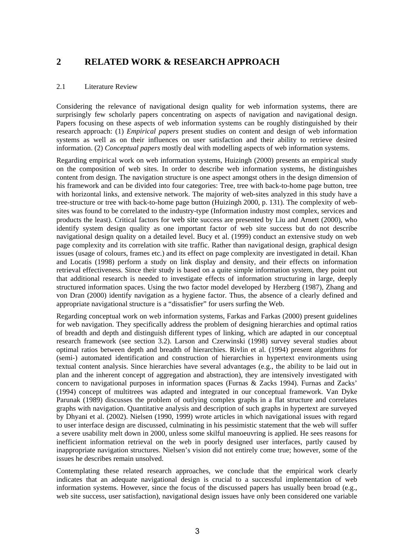## **2 RELATED WORK & RESEARCH APPROACH**

#### 2.1 Literature Review

Considering the relevance of navigational design quality for web information systems, there are surprisingly few scholarly papers concentrating on aspects of navigation and navigational design. Papers focusing on these aspects of web information systems can be roughly distinguished by their research approach: (1) *Empirical papers* present studies on content and design of web information systems as well as on their influences on user satisfaction and their ability to retrieve desired information. (2) *Conceptual papers* mostly deal with modelling aspects of web information systems.

Regarding empirical work on web information systems, Huizingh (2000) presents an empirical study on the composition of web sites. In order to describe web information systems, he distinguishes content from design. The navigation structure is one aspect amongst others in the design dimension of his framework and can be divided into four categories: Tree, tree with back-to-home page button, tree with horizontal links, and extensive network. The majority of web-sites analyzed in this study have a tree-structure or tree with back-to-home page button (Huizingh 2000, p. 131). The complexity of websites was found to be correlated to the industry-type (Information industry most complex, services and products the least). Critical factors for web site success are presented by Liu and Arnett (2000), who identify system design quality as one important factor of web site success but do not describe navigational design quality on a detailed level. Bucy et al. (1999) conduct an extensive study on web page complexity and its correlation with site traffic. Rather than navigational design, graphical design issues (usage of colours, frames etc.) and its effect on page complexity are investigated in detail. Khan and Locatis (1998) perform a study on link display and density, and their effects on information retrieval effectiveness. Since their study is based on a quite simple information system, they point out that additional research is needed to investigate effects of information structuring in large, deeply structured information spaces. Using the two factor model developed by Herzberg (1987), Zhang and von Dran (2000) identify navigation as a hygiene factor. Thus, the absence of a clearly defined and appropriate navigational structure is a "dissatisfier" for users surfing the Web.

Regarding conceptual work on web information systems, Farkas and Farkas (2000) present guidelines for web navigation. They specifically address the problem of designing hierarchies and optimal ratios of breadth and depth and distinguish different types of linking, which are adapted in our conceptual research framework (see section 3.2). Larson and Czerwinski (1998) survey several studies about optimal ratios between depth and breadth of hierarchies. Rivlin et al. (1994) present algorithms for (semi-) automated identification and construction of hierarchies in hypertext environments using textual content analysis. Since hierarchies have several advantages (e.g., the ability to be laid out in plan and the inherent concept of aggregation and abstraction), they are intensively investigated with concern to navigational purposes in information spaces (Furnas & Zacks 1994). Furnas and Zacks' (1994) concept of multitrees was adapted and integrated in our conceptual framework. Van Dyke Parunak (1989) discusses the problem of outlying complex graphs in a flat structure and correlates graphs with navigation. Quantitative analysis and description of such graphs in hypertext are surveyed by Dhyani et al. (2002). Nielsen (1990, 1999) wrote articles in which navigational issues with regard to user interface design are discussed, culminating in his pessimistic statement that the web will suffer a severe usability melt down in 2000, unless some skilful manoeuvring is applied. He sees reasons for inefficient information retrieval on the web in poorly designed user interfaces, partly caused by inappropriate navigation structures. Nielsen's vision did not entirely come true; however, some of the issues he describes remain unsolved.

Contemplating these related research approaches, we conclude that the empirical work clearly indicates that an adequate navigational design is crucial to a successful implementation of web information systems. However, since the focus of the discussed papers has usually been broad (e.g., web site success, user satisfaction), navigational design issues have only been considered one variable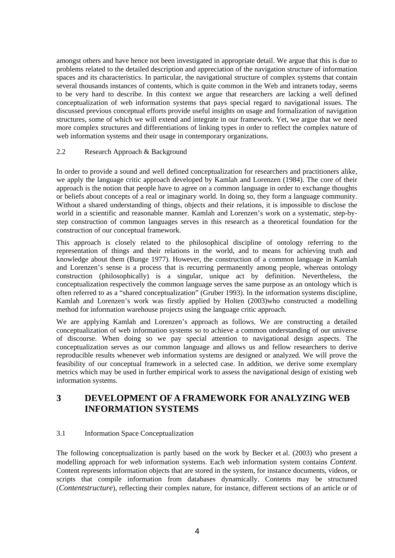amongst others and have hence not been investigated in appropriate detail. We argue that this is due to problems related to the detailed description and appreciation of the navigation structure of information spaces and its characteristics. In particular, the navigational structure of complex systems that contain several thousands instances of contents, which is quite common in the Web and intranets today, seems to be very hard to describe. In this context we argue that researchers are lacking a well defined conceptualization of web information systems that pays special regard to navigational issues. The discussed previous conceptual efforts provide useful insights on usage and formalization of navigation structures, some of which we will extend and integrate in our framework. Yet, we argue that we need more complex structures and differentiations of linking types in order to reflect the complex nature of web information systems and their usage in contemporary organizations.

#### 2.2 Research Approach & Background

In order to provide a sound and well defined conceptualization for researchers and practitioners alike, we apply the language critic approach developed by Kamlah and Lorenzen (1984). The core of their approach is the notion that people have to agree on a common language in order to exchange thoughts or beliefs about concepts of a real or imaginary world. In doing so, they form a language community. Without a shared understanding of things, objects and their relations, it is impossible to disclose the world in a scientific and reasonable manner. Kamlah and Lorenzen's work on a systematic, step-bystep construction of common languages serves in this research as a theoretical foundation for the construction of our conceptual framework.

This approach is closely related to the philosophical discipline of ontology referring to the representation of things and their relations in the world, and to means for achieving truth and knowledge about them (Bunge 1977). However, the construction of a common language in Kamlah and Lorenzen's sense is a process that is recurring permanently among people, whereas ontology construction (philosophically) is a singular, unique act by definition. Nevertheless, the conceptualization respectively the common language serves the same purpose as an ontology which is often referred to as a "shared conceptualization" (Gruber 1993). In the information systems discipline, Kamlah and Lorenzen's work was firstly applied by Holten (2003)who constructed a modelling method for information warehouse projects using the language critic approach.

We are applying Kamlah and Lorenzen's approach as follows. We are constructing a detailed conceptualization of web information systems so to achieve a common understanding of our universe of discourse. When doing so we pay special attention to navigational design aspects. The conceptualization serves as our common language and allows us and fellow researchers to derive reproducible results whenever web information systems are designed or analyzed. We will prove the feasibility of our conceptual framework in a selected case. In addition, we derive some exemplary metrics which may be used in further empirical work to assess the navigational design of existing web information systems.

## **3 DEVELOPMENT OF A FRAMEWORK FOR ANALYZING WEB INFORMATION SYSTEMS**

## 3.1 Information Space Conceptualization

The following conceptualization is partly based on the work by Becker et al. (2003) who present a modelling approach for web information systems. Each web information system contains *Content*. Content represents information objects that are stored in the system, for instance documents, videos, or scripts that compile information from databases dynamically. Contents may be structured (*Contentstructure*), reflecting their complex nature, for instance, different sections of an article or of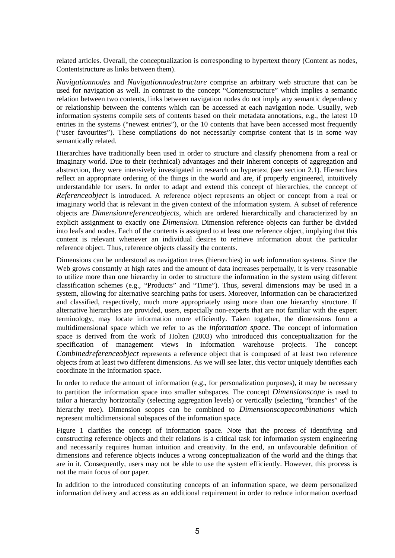related articles. Overall, the conceptualization is corresponding to hypertext theory (Content as nodes, Contentstructure as links between them).

*Navigationnodes* and *Navigationnodestructure* comprise an arbitrary web structure that can be used for navigation as well. In contrast to the concept "Contentstructure" which implies a semantic relation between two contents, links between navigation nodes do not imply any semantic dependency or relationship between the contents which can be accessed at each navigation node. Usually, web information systems compile sets of contents based on their metadata annotations, e.g., the latest 10 entries in the systems ("newest entries"), or the 10 contents that have been accessed most frequently ("user favourites"). These compilations do not necessarily comprise content that is in some way semantically related.

Hierarchies have traditionally been used in order to structure and classify phenomena from a real or imaginary world. Due to their (technical) advantages and their inherent concepts of aggregation and abstraction, they were intensively investigated in research on hypertext (see section 2.1). Hierarchies reflect an appropriate ordering of the things in the world and are, if properly engineered, intuitively understandable for users. In order to adapt and extend this concept of hierarchies, the concept of *Referenceobject* is introduced. A reference object represents an object or concept from a real or imaginary world that is relevant in the given context of the information system. A subset of reference objects are *Dimensionreferenceobjects,* which are ordered hierarchically and characterized by an explicit assignment to exactly one *Dimension*. Dimension reference objects can further be divided into leafs and nodes. Each of the contents is assigned to at least one reference object, implying that this content is relevant whenever an individual desires to retrieve information about the particular reference object. Thus, reference objects classify the contents.

Dimensions can be understood as navigation trees (hierarchies) in web information systems. Since the Web grows constantly at high rates and the amount of data increases perpetually, it is very reasonable to utilize more than one hierarchy in order to structure the information in the system using different classification schemes (e.g., "Products" and "Time"). Thus, several dimensions may be used in a system, allowing for alternative searching paths for users. Moreover, information can be characterized and classified, respectively, much more appropriately using more than one hierarchy structure. If alternative hierarchies are provided, users, especially non-experts that are not familiar with the expert terminology, may locate information more efficiently. Taken together, the dimensions form a multidimensional space which we refer to as the *information space*. The concept of information space is derived from the work of Holten (2003) who introduced this conceptualization for the specification of management views in information warehouse projects. The concept *Combinedreferenceobject* represents a reference object that is composed of at least two reference objects from at least two different dimensions. As we will see later, this vector uniquely identifies each coordinate in the information space.

In order to reduce the amount of information (e.g., for personalization purposes), it may be necessary to partition the information space into smaller subspaces. The concept *Dimensionscope* is used to tailor a hierarchy horizontally (selecting aggregation levels) or vertically (selecting "branches" of the hierarchy tree). Dimension scopes can be combined to *Dimensionscopecombinations* which represent multidimensional subspaces of the information space.

Figure 1 clarifies the concept of information space. Note that the process of identifying and constructing reference objects and their relations is a critical task for information system engineering and necessarily requires human intuition and creativity. In the end, an unfavourable definition of dimensions and reference objects induces a wrong conceptualization of the world and the things that are in it. Consequently, users may not be able to use the system efficiently. However, this process is not the main focus of our paper.

In addition to the introduced constituting concepts of an information space, we deem personalized information delivery and access as an additional requirement in order to reduce information overload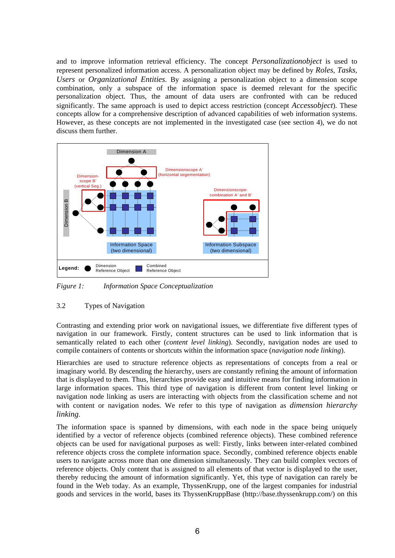and to improve information retrieval efficiency. The concept *Personalizationobject* is used to represent personalized information access. A personalization object may be defined by *Roles*, *Tasks*, *Users* or *Organizational Entities*. By assigning a personalization object to a dimension scope combination, only a subspace of the information space is deemed relevant for the specific personalization object. Thus, the amount of data users are confronted with can be reduced significantly. The same approach is used to depict access restriction (concept *Accessobject*). These concepts allow for a comprehensive description of advanced capabilities of web information systems. However, as these concepts are not implemented in the investigated case (see section 4), we do not discuss them further.



*Figure 1: Information Space Conceptualization* 

## 3.2 Types of Navigation

Contrasting and extending prior work on navigational issues, we differentiate five different types of navigation in our framework. Firstly, content structures can be used to link information that is semantically related to each other (*content level linking*). Secondly, navigation nodes are used to compile containers of contents or shortcuts within the information space (*navigation node linking*).

Hierarchies are used to structure reference objects as representations of concepts from a real or imaginary world. By descending the hierarchy, users are constantly refining the amount of information that is displayed to them. Thus, hierarchies provide easy and intuitive means for finding information in large information spaces. This third type of navigation is different from content level linking or navigation node linking as users are interacting with objects from the classification scheme and not with content or navigation nodes. We refer to this type of navigation as *dimension hierarchy linking*.

The information space is spanned by dimensions, with each node in the space being uniquely identified by a vector of reference objects (combined reference objects). These combined reference objects can be used for navigational purposes as well: Firstly, links between inter-related combined reference objects cross the complete information space. Secondly, combined reference objects enable users to navigate across more than one dimension simultaneously. They can build complex vectors of reference objects. Only content that is assigned to all elements of that vector is displayed to the user, thereby reducing the amount of information significantly. Yet, this type of navigation can rarely be found in the Web today. As an example, ThyssenKrupp, one of the largest companies for industrial goods and services in the world, bases its ThyssenKruppBase (http://base.thyssenkrupp.com/) on this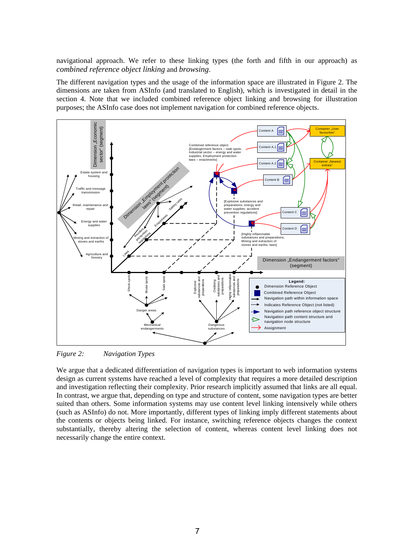navigational approach. We refer to these linking types (the forth and fifth in our approach) as *combined reference object linking* and *browsing*.

The different navigation types and the usage of the information space are illustrated in Figure 2. The dimensions are taken from ASInfo (and translated to English), which is investigated in detail in the section 4. Note that we included combined reference object linking and browsing for illustration purposes; the ASInfo case does not implement navigation for combined reference objects.



*Figure 2: Navigation Types* 

We argue that a dedicated differentiation of navigation types is important to web information systems design as current systems have reached a level of complexity that requires a more detailed description and investigation reflecting their complexity. Prior research implicitly assumed that links are all equal. In contrast, we argue that, depending on type and structure of content, some navigation types are better suited than others. Some information systems may use content level linking intensively while others (such as ASInfo) do not. More importantly, different types of linking imply different statements about the contents or objects being linked. For instance, switching reference objects changes the context substantially, thereby altering the selection of content, whereas content level linking does not necessarily change the entire context.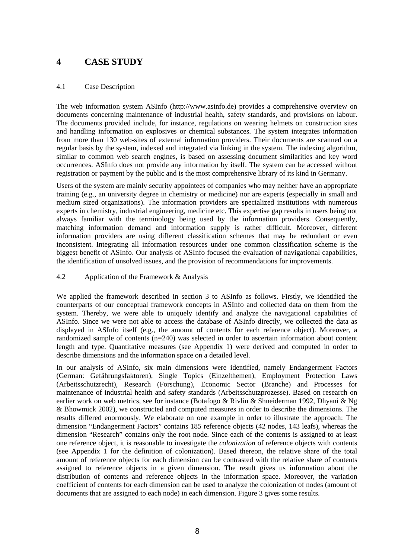## **4 CASE STUDY**

#### 4.1 Case Description

The web information system ASInfo (http://www.asinfo.de) provides a comprehensive overview on documents concerning maintenance of industrial health, safety standards, and provisions on labour. The documents provided include, for instance, regulations on wearing helmets on construction sites and handling information on explosives or chemical substances. The system integrates information from more than 130 web-sites of external information providers. Their documents are scanned on a regular basis by the system, indexed and integrated via linking in the system. The indexing algorithm, similar to common web search engines, is based on assessing document similarities and key word occurrences. ASInfo does not provide any information by itself. The system can be accessed without registration or payment by the public and is the most comprehensive library of its kind in Germany.

Users of the system are mainly security appointees of companies who may neither have an appropriate training (e.g., an university degree in chemistry or medicine) nor are experts (especially in small and medium sized organizations). The information providers are specialized institutions with numerous experts in chemistry, industrial engineering, medicine etc. This expertise gap results in users being not always familiar with the terminology being used by the information providers. Consequently, matching information demand and information supply is rather difficult. Moreover, different information providers are using different classification schemes that may be redundant or even inconsistent. Integrating all information resources under one common classification scheme is the biggest benefit of ASInfo. Our analysis of ASInfo focused the evaluation of navigational capabilities, the identification of unsolved issues, and the provision of recommendations for improvements.

#### 4.2 Application of the Framework & Analysis

We applied the framework described in section 3 to ASInfo as follows. Firstly, we identified the counterparts of our conceptual framework concepts in ASInfo and collected data on them from the system. Thereby, we were able to uniquely identify and analyze the navigational capabilities of ASInfo. Since we were not able to access the database of ASInfo directly, we collected the data as displayed in ASInfo itself (e.g., the amount of contents for each reference object). Moreover, a randomized sample of contents (n=240) was selected in order to ascertain information about content length and type. Quantitative measures (see Appendix 1) were derived and computed in order to describe dimensions and the information space on a detailed level.

In our analysis of ASInfo, six main dimensions were identified, namely Endangerment Factors (German: Gefährungsfaktoren), Single Topics (Einzelthemen), Employment Protection Laws (Arbeitsschutzrecht), Research (Forschung), Economic Sector (Branche) and Processes for maintenance of industrial health and safety standards (Arbeitsschutzprozesse). Based on research on earlier work on web metrics, see for instance (Botafogo & Rivlin & Shneiderman 1992, Dhyani & Ng & Bhowmick 2002), we constructed and computed measures in order to describe the dimensions. The results differed enormously. We elaborate on one example in order to illustrate the approach: The dimension "Endangerment Factors" contains 185 reference objects (42 nodes, 143 leafs), whereas the dimension "Research" contains only the root node. Since each of the contents is assigned to at least one reference object, it is reasonable to investigate the *colonization* of reference objects with contents (see Appendix 1 for the definition of colonization). Based thereon, the relative share of the total amount of reference objects for each dimension can be contrasted with the relative share of contents assigned to reference objects in a given dimension. The result gives us information about the distribution of contents and reference objects in the information space. Moreover, the variation coefficient of contents for each dimension can be used to analyze the colonization of nodes (amount of documents that are assigned to each node) in each dimension. Figure 3 gives some results.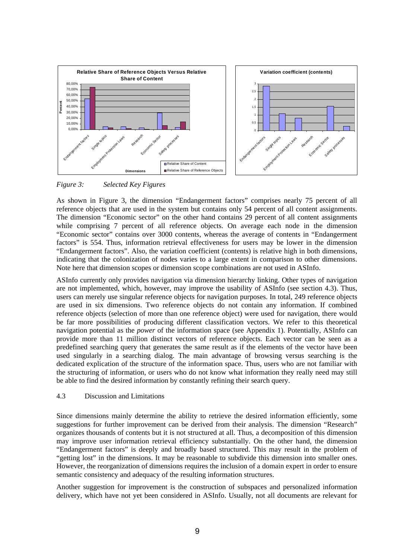

*Figure 3: Selected Key Figures* 

As shown in Figure 3, the dimension "Endangerment factors" comprises nearly 75 percent of all reference objects that are used in the system but contains only 54 percent of all content assignments. The dimension "Economic sector" on the other hand contains 29 percent of all content assignments while comprising 7 percent of all reference objects. On average each node in the dimension "Economic sector" contains over 3000 contents, whereas the average of contents in "Endangerment factors" is 554. Thus, information retrieval effectiveness for users may be lower in the dimension "Endangerment factors". Also, the variation coefficient (contents) is relative high in both dimensions, indicating that the colonization of nodes varies to a large extent in comparison to other dimensions. Note here that dimension scopes or dimension scope combinations are not used in ASInfo.

ASInfo currently only provides navigation via dimension hierarchy linking. Other types of navigation are not implemented, which, however, may improve the usability of ASInfo (see section 4.3). Thus, users can merely use singular reference objects for navigation purposes. In total, 249 reference objects are used in six dimensions. Two reference objects do not contain any information. If combined reference objects (selection of more than one reference object) were used for navigation, there would be far more possibilities of producing different classification vectors. We refer to this theoretical navigation potential as the *power* of the information space (see Appendix 1). Potentially, ASInfo can provide more than 11 million distinct vectors of reference objects. Each vector can be seen as a predefined searching query that generates the same result as if the elements of the vector have been used singularly in a searching dialog. The main advantage of browsing versus searching is the dedicated explication of the structure of the information space. Thus, users who are not familiar with the structuring of information, or users who do not know what information they really need may still be able to find the desired information by constantly refining their search query.

#### 4.3 Discussion and Limitations

Since dimensions mainly determine the ability to retrieve the desired information efficiently, some suggestions for further improvement can be derived from their analysis. The dimension "Research" organizes thousands of contents but it is not structured at all. Thus, a decomposition of this dimension may improve user information retrieval efficiency substantially. On the other hand, the dimension "Endangerment factors" is deeply and broadly based structured. This may result in the problem of "getting lost" in the dimensions. It may be reasonable to subdivide this dimension into smaller ones. However, the reorganization of dimensions requires the inclusion of a domain expert in order to ensure semantic consistency and adequacy of the resulting information structures.

Another suggestion for improvement is the construction of subspaces and personalized information delivery, which have not yet been considered in ASInfo. Usually, not all documents are relevant for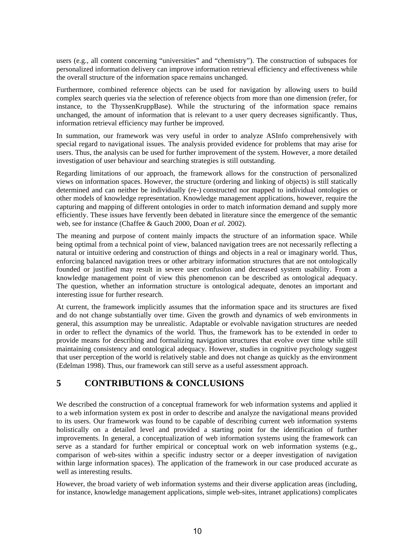users (e.g., all content concerning "universities" and "chemistry"). The construction of subspaces for personalized information delivery can improve information retrieval efficiency and effectiveness while the overall structure of the information space remains unchanged.

Furthermore, combined reference objects can be used for navigation by allowing users to build complex search queries via the selection of reference objects from more than one dimension (refer, for instance, to the ThyssenKruppBase). While the structuring of the information space remains unchanged, the amount of information that is relevant to a user query decreases significantly. Thus, information retrieval efficiency may further be improved.

In summation, our framework was very useful in order to analyze ASInfo comprehensively with special regard to navigational issues. The analysis provided evidence for problems that may arise for users. Thus, the analysis can be used for further improvement of the system. However, a more detailed investigation of user behaviour and searching strategies is still outstanding.

Regarding limitations of our approach, the framework allows for the construction of personalized views on information spaces. However, the structure (ordering and linking of objects) is still statically determined and can neither be individually (re-) constructed nor mapped to individual ontologies or other models of knowledge representation. Knowledge management applications, however, require the capturing and mapping of different ontologies in order to match information demand and supply more efficiently. These issues have fervently been debated in literature since the emergence of the semantic web, see for instance (Chaffee & Gauch 2000, Doan *et al.* 2002).

The meaning and purpose of content mainly impacts the structure of an information space. While being optimal from a technical point of view, balanced navigation trees are not necessarily reflecting a natural or intuitive ordering and construction of things and objects in a real or imaginary world. Thus, enforcing balanced navigation trees or other arbitrary information structures that are not ontologically founded or justified may result in severe user confusion and decreased system usability. From a knowledge management point of view this phenomenon can be described as ontological adequacy. The question, whether an information structure is ontological adequate, denotes an important and interesting issue for further research.

At current, the framework implicitly assumes that the information space and its structures are fixed and do not change substantially over time. Given the growth and dynamics of web environments in general, this assumption may be unrealistic. Adaptable or evolvable navigation structures are needed in order to reflect the dynamics of the world. Thus, the framework has to be extended in order to provide means for describing and formalizing navigation structures that evolve over time while still maintaining consistency and ontological adequacy. However, studies in cognitive psychology suggest that user perception of the world is relatively stable and does not change as quickly as the environment (Edelman 1998). Thus, our framework can still serve as a useful assessment approach.

## **5 CONTRIBUTIONS & CONCLUSIONS**

We described the construction of a conceptual framework for web information systems and applied it to a web information system ex post in order to describe and analyze the navigational means provided to its users. Our framework was found to be capable of describing current web information systems holistically on a detailed level and provided a starting point for the identification of further improvements. In general, a conceptualization of web information systems using the framework can serve as a standard for further empirical or conceptual work on web information systems (e.g., comparison of web-sites within a specific industry sector or a deeper investigation of navigation within large information spaces). The application of the framework in our case produced accurate as well as interesting results.

However, the broad variety of web information systems and their diverse application areas (including, for instance, knowledge management applications, simple web-sites, intranet applications) complicates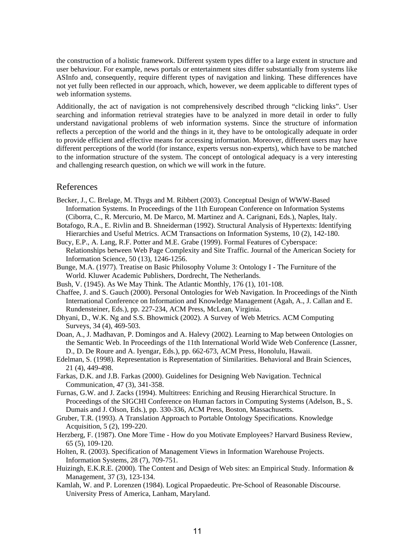the construction of a holistic framework. Different system types differ to a large extent in structure and user behaviour. For example, news portals or entertainment sites differ substantially from systems like ASInfo and, consequently, require different types of navigation and linking. These differences have not yet fully been reflected in our approach, which, however, we deem applicable to different types of web information systems.

Additionally, the act of navigation is not comprehensively described through "clicking links". User searching and information retrieval strategies have to be analyzed in more detail in order to fully understand navigational problems of web information systems. Since the structure of information reflects a perception of the world and the things in it, they have to be ontologically adequate in order to provide efficient and effective means for accessing information. Moreover, different users may have different perceptions of the world (for instance, experts versus non-experts), which have to be matched to the information structure of the system. The concept of ontological adequacy is a very interesting and challenging research question, on which we will work in the future.

## References

- Becker, J., C. Brelage, M. Thygs and M. Ribbert (2003). Conceptual Design of WWW-Based Information Systems. In Proceedings of the 11th European Conference on Information Systems (Ciborra, C., R. Mercurio, M. De Marco, M. Martinez and A. Carignani, Eds.), Naples, Italy.
- Botafogo, R.A., E. Rivlin and B. Shneiderman (1992). Structural Analysis of Hypertexts: Identifying Hierarchies and Useful Metrics. ACM Transactions on Information Systems, 10 (2), 142-180.
- Bucy, E.P., A. Lang, R.F. Potter and M.E. Grabe (1999). Formal Features of Cyberspace: Relationships between Web Page Complexity and Site Traffic. Journal of the American Society for Information Science, 50 (13), 1246-1256.
- Bunge, M.A. (1977). Treatise on Basic Philosophy Volume 3: Ontology I The Furniture of the World. Kluwer Academic Publishers, Dordrecht, The Netherlands.
- Bush, V. (1945). As We May Think. The Atlantic Monthly, 176 (1), 101-108.
- Chaffee, J. and S. Gauch (2000). Personal Ontologies for Web Navigation. In Proceedings of the Ninth International Conference on Information and Knowledge Management (Agah, A., J. Callan and E. Rundensteiner, Eds.), pp. 227-234, ACM Press, McLean, Virginia.
- Dhyani, D., W.K. Ng and S.S. Bhowmick (2002). A Survey of Web Metrics. ACM Computing Surveys, 34 (4), 469-503.
- Doan, A., J. Madhavan, P. Domingos and A. Halevy (2002). Learning to Map between Ontologies on the Semantic Web. In Proceedings of the 11th International World Wide Web Conference (Lassner, D., D. De Roure and A. Iyengar, Eds.), pp. 662-673, ACM Press, Honolulu, Hawaii.
- Edelman, S. (1998). Representation is Representation of Similarities. Behavioral and Brain Sciences, 21 (4), 449-498.
- Farkas, D.K. and J.B. Farkas (2000). Guidelines for Designing Web Navigation. Technical Communication, 47 (3), 341-358.
- Furnas, G.W. and J. Zacks (1994). Multitrees: Enriching and Reusing Hierarchical Structure. In Proceedings of the SIGCHI Conference on Human factors in Computing Systems (Adelson, B., S. Dumais and J. Olson, Eds.), pp. 330-336, ACM Press, Boston, Massachusetts.
- Gruber, T.R. (1993). A Translation Approach to Portable Ontology Specifications. Knowledge Acquisition, 5 (2), 199-220.
- Herzberg, F. (1987). One More Time How do you Motivate Employees? Harvard Business Review, 65 (5), 109-120.
- Holten, R. (2003). Specification of Management Views in Information Warehouse Projects. Information Systems, 28 (7), 709-751.
- Huizingh, E.K.R.E. (2000). The Content and Design of Web sites: an Empirical Study. Information & Management, 37 (3), 123-134.
- Kamlah, W. and P. Lorenzen (1984). Logical Propaedeutic. Pre-School of Reasonable Discourse. University Press of America, Lanham, Maryland.